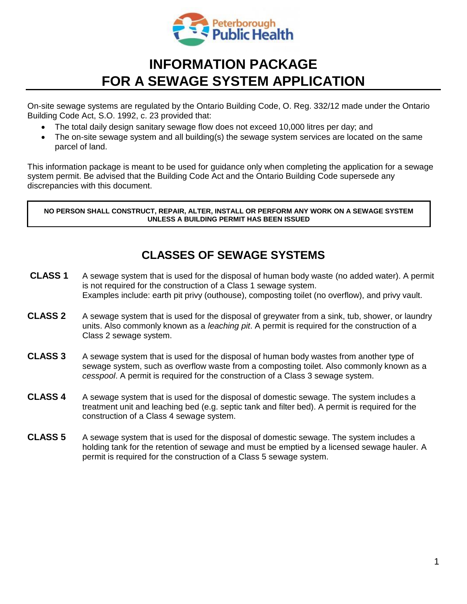

## **INFORMATION PACKAGE FOR A SEWAGE SYSTEM APPLICATION**

On-site sewage systems are regulated by the Ontario Building Code, O. Reg. 332/12 made under the Ontario Building Code Act, S.O. 1992, c. 23 provided that:

- The total daily design sanitary sewage flow does not exceed 10,000 litres per day; and
- The on-site sewage system and all building(s) the sewage system services are located on the same parcel of land.

This information package is meant to be used for guidance only when completing the application for a sewage system permit. Be advised that the Building Code Act and the Ontario Building Code supersede any discrepancies with this document.

**NO PERSON SHALL CONSTRUCT, REPAIR, ALTER, INSTALL OR PERFORM ANY WORK ON A SEWAGE SYSTEM UNLESS A BUILDING PERMIT HAS BEEN ISSUED**

#### **CLASSES OF SEWAGE SYSTEMS**

- **CLASS 1** A sewage system that is used for the disposal of human body waste (no added water). A permit is not required for the construction of a Class 1 sewage system. Examples include: earth pit privy (outhouse), composting toilet (no overflow), and privy vault.
- **CLASS 2** A sewage system that is used for the disposal of greywater from a sink, tub, shower, or laundry units. Also commonly known as a *leaching pit*. A permit is required for the construction of a Class 2 sewage system.
- **CLASS 3** A sewage system that is used for the disposal of human body wastes from another type of sewage system, such as overflow waste from a composting toilet. Also commonly known as a *cesspool*. A permit is required for the construction of a Class 3 sewage system.
- **CLASS 4** A sewage system that is used for the disposal of domestic sewage. The system includes a treatment unit and leaching bed (e.g. septic tank and filter bed). A permit is required for the construction of a Class 4 sewage system.
- **CLASS 5** A sewage system that is used for the disposal of domestic sewage. The system includes a holding tank for the retention of sewage and must be emptied by a licensed sewage hauler. A permit is required for the construction of a Class 5 sewage system.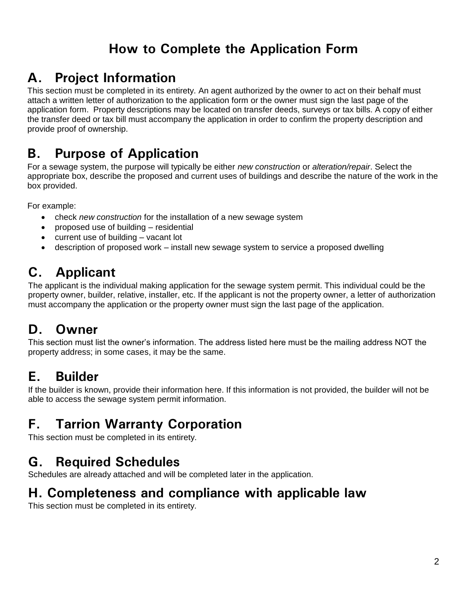## **How to Complete the Application Form**

# **A. Project Information**

This section must be completed in its entirety. An agent authorized by the owner to act on their behalf must attach a written letter of authorization to the application form or the owner must sign the last page of the application form. Property descriptions may be located on transfer deeds, surveys or tax bills. A copy of either the transfer deed or tax bill must accompany the application in order to confirm the property description and provide proof of ownership.

#### **B. Purpose of Application**

For a sewage system, the purpose will typically be either *new construction* or *alteration/repair*. Select the appropriate box, describe the proposed and current uses of buildings and describe the nature of the work in the box provided.

For example:

- check *new construction* for the installation of a new sewage system
- proposed use of building residential
- current use of building vacant lot
- description of proposed work install new sewage system to service a proposed dwelling

## **C. Applicant**

The applicant is the individual making application for the sewage system permit. This individual could be the property owner, builder, relative, installer, etc. If the applicant is not the property owner, a letter of authorization must accompany the application or the property owner must sign the last page of the application.

## **D. Owner**

This section must list the owner's information. The address listed here must be the mailing address NOT the property address; in some cases, it may be the same.

# **E. Builder**

If the builder is known, provide their information here. If this information is not provided, the builder will not be able to access the sewage system permit information.

# **F. Tarrion Warranty Corporation**

This section must be completed in its entirety.

## **G. Required Schedules**

Schedules are already attached and will be completed later in the application.

#### **H. Completeness and compliance with applicable law**

This section must be completed in its entirety.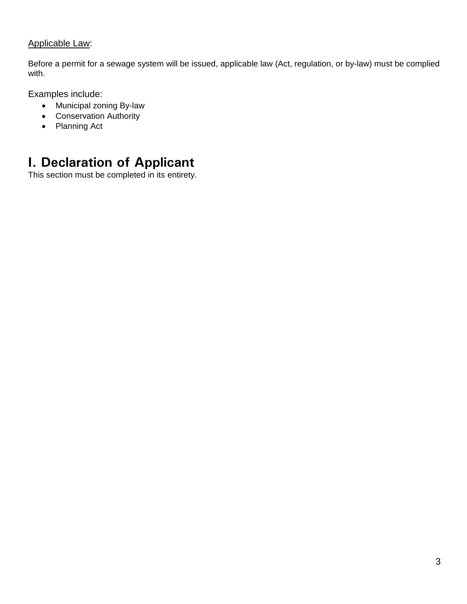#### Applicable Law:

Before a permit for a sewage system will be issued, applicable law (Act, regulation, or by-law) must be complied with.

Examples include:

- Municipal zoning By-law
- Conservation Authority
- Planning Act

## **I. Declaration of Applicant**

This section must be completed in its entirety.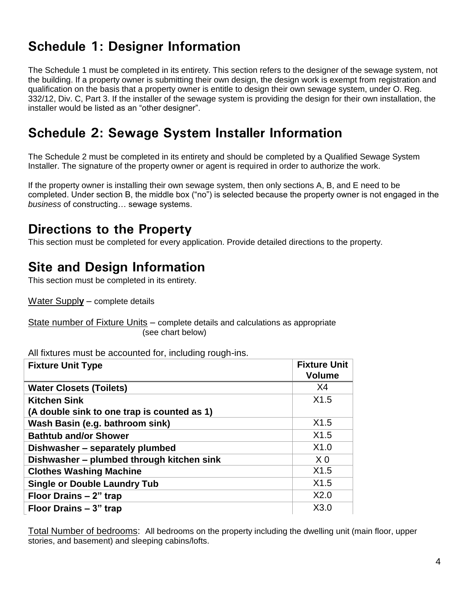## **Schedule 1: Designer Information**

The Schedule 1 must be completed in its entirety. This section refers to the designer of the sewage system, not the building. If a property owner is submitting their own design, the design work is exempt from registration and qualification on the basis that a property owner is entitle to design their own sewage system, under O. Reg. 332/12, Div. C, Part 3. If the installer of the sewage system is providing the design for their own installation, the installer would be listed as an "other designer".

#### **Schedule 2: Sewage System Installer Information**

The Schedule 2 must be completed in its entirety and should be completed by a Qualified Sewage System Installer. The signature of the property owner or agent is required in order to authorize the work.

If the property owner is installing their own sewage system, then only sections A, B, and E need to be completed. Under section B, the middle box ("no") is selected because the property owner is not engaged in the *business* of constructing… sewage systems.

#### **Directions to the Property**

This section must be completed for every application. Provide detailed directions to the property.

#### **Site and Design Information**

This section must be completed in its entirety.

Water Suppl**y** – complete details

State number of Fixture Units – complete details and calculations as appropriate (see chart below)

All fixtures must be accounted for, including rough-ins.

| <b>Fixture Unit Type</b>                    | <b>Fixture Unit</b><br><b>Volume</b> |
|---------------------------------------------|--------------------------------------|
| <b>Water Closets (Toilets)</b>              | X4                                   |
| <b>Kitchen Sink</b>                         | X1.5                                 |
| (A double sink to one trap is counted as 1) |                                      |
| Wash Basin (e.g. bathroom sink)             | X1.5                                 |
| <b>Bathtub and/or Shower</b>                | X1.5                                 |
| Dishwasher - separately plumbed             | X1.0                                 |
| Dishwasher – plumbed through kitchen sink   | X <sub>0</sub>                       |
| <b>Clothes Washing Machine</b>              | X1.5                                 |
| <b>Single or Double Laundry Tub</b>         | X1.5                                 |
| Floor Drains - 2" trap                      | X2.0                                 |
| Floor Drains – 3" trap                      | X3.0                                 |

Total Number of bedrooms:All bedrooms on the property including the dwelling unit (main floor, upper stories, and basement) and sleeping cabins/lofts.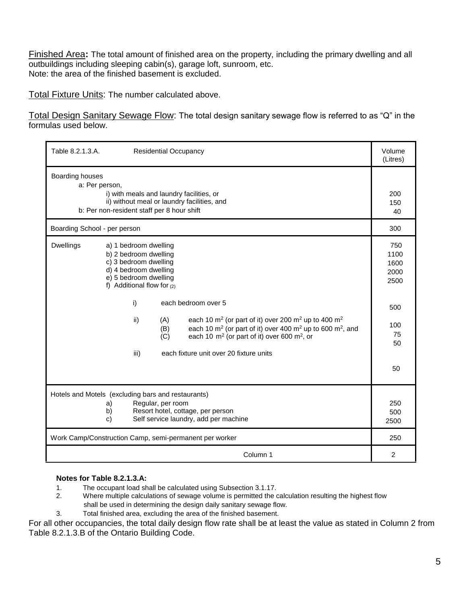Finished Area**:** The total amount of finished area on the property, including the primary dwelling and all outbuildings including sleeping cabin(s), garage loft, sunroom, etc. Note: the area of the finished basement is excluded.

Total Fixture Units: The number calculated above.

Total Design Sanitary Sewage Flow: The total design sanitary sewage flow is referred to as "Q" in the formulas used below.

| Table 8.2.1.3.A.<br><b>Residential Occupancy</b>                                                                                                                                                                                                                                                                                                                                                                                                                                                                | Volume<br>(Litres)                                                  |
|-----------------------------------------------------------------------------------------------------------------------------------------------------------------------------------------------------------------------------------------------------------------------------------------------------------------------------------------------------------------------------------------------------------------------------------------------------------------------------------------------------------------|---------------------------------------------------------------------|
| Boarding houses<br>a: Per person,<br>i) with meals and laundry facilities, or<br>ii) without meal or laundry facilities, and<br>b: Per non-resident staff per 8 hour shift                                                                                                                                                                                                                                                                                                                                      | 200<br>150<br>40                                                    |
| Boarding School - per person                                                                                                                                                                                                                                                                                                                                                                                                                                                                                    | 300                                                                 |
| <b>Dwellings</b><br>a) 1 bedroom dwelling<br>b) 2 bedroom dwelling<br>c) 3 bedroom dwelling<br>d) 4 bedroom dwelling<br>e) 5 bedroom dwelling<br>f) Additional flow for $(2)$<br>i)<br>each bedroom over 5<br>each 10 m <sup>2</sup> (or part of it) over 200 m <sup>2</sup> up to 400 m <sup>2</sup><br>ii)<br>(A)<br>each 10 $m^2$ (or part of it) over 400 $m^2$ up to 600 $m^2$ , and<br>(B)<br>each 10 $m^2$ (or part of it) over 600 $m^2$ , or<br>(C)<br>each fixture unit over 20 fixture units<br>iii) | 750<br>1100<br>1600<br>2000<br>2500<br>500<br>100<br>75<br>50<br>50 |
| Hotels and Motels (excluding bars and restaurants)<br>Regular, per room<br>a)<br>Resort hotel, cottage, per person<br>b)                                                                                                                                                                                                                                                                                                                                                                                        |                                                                     |
| Self service laundry, add per machine<br>c)<br>Work Camp/Construction Camp, semi-permanent per worker                                                                                                                                                                                                                                                                                                                                                                                                           | 2500<br>250                                                         |
| Column 1                                                                                                                                                                                                                                                                                                                                                                                                                                                                                                        | $\overline{2}$                                                      |

#### **Notes for Table 8.2.1.3.A:**

- 1. The occupant load shall be calculated using Subsection 3.1.17.<br>2. Where multiple calculations of sewage volume is permitted the o
- Where multiple calculations of sewage volume is permitted the calculation resulting the highest flow shall be used in determining the design daily sanitary sewage flow.
- 3. Total finished area, excluding the area of the finished basement.

For all other occupancies, the total daily design flow rate shall be at least the value as stated in Column 2 from Table 8.2.1.3.B of the Ontario Building Code.

 $\overline{a}$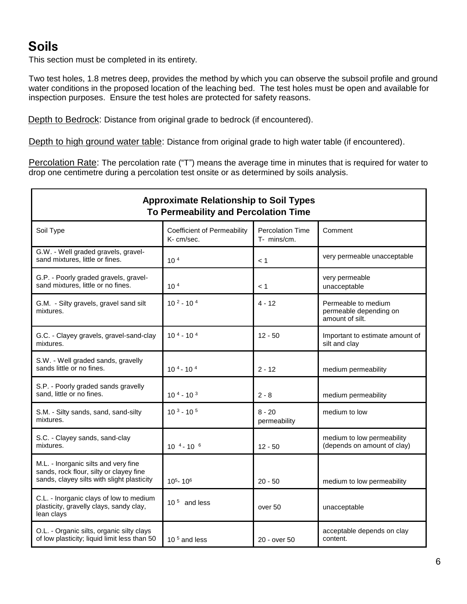## **Soils**

This section must be completed in its entirety.

Two test holes, 1.8 metres deep, provides the method by which you can observe the subsoil profile and ground water conditions in the proposed location of the leaching bed. The test holes must be open and available for inspection purposes. Ensure the test holes are protected for safety reasons.

Depth to Bedrock: Distance from original grade to bedrock (if encountered).

Depth to high ground water table: Distance from original grade to high water table (if encountered).

Percolation Rate: The percolation rate ("T") means the average time in minutes that is required for water to drop one centimetre during a percolation test onsite or as determined by soils analysis.

| <b>Approximate Relationship to Soil Types</b><br><b>To Permeability and Percolation Time</b>                                  |                                                  |                                        |                                                                  |  |
|-------------------------------------------------------------------------------------------------------------------------------|--------------------------------------------------|----------------------------------------|------------------------------------------------------------------|--|
| Soil Type                                                                                                                     | <b>Coefficient of Permeability</b><br>K- cm/sec. | <b>Percolation Time</b><br>T- mins/cm. | Comment                                                          |  |
| G.W. - Well graded gravels, gravel-<br>sand mixtures, little or fines.                                                        | 10 <sup>4</sup>                                  | < 1                                    | very permeable unacceptable                                      |  |
| G.P. - Poorly graded gravels, gravel-<br>sand mixtures, little or no fines.                                                   | 10 <sup>4</sup>                                  | < 1                                    | very permeable<br>unacceptable                                   |  |
| G.M. - Silty gravels, gravel sand silt<br>mixtures.                                                                           | $102 - 104$                                      | 4 - 12                                 | Permeable to medium<br>permeable depending on<br>amount of silt. |  |
| G.C. - Clayey gravels, gravel-sand-clay<br>mixtures.                                                                          | $104 - 104$                                      | $12 - 50$                              | Important to estimate amount of<br>silt and clay                 |  |
| S.W. - Well graded sands, gravelly<br>sands little or no fines.                                                               | $104 - 104$                                      | $2 - 12$                               | medium permeability                                              |  |
| S.P. - Poorly graded sands gravelly<br>sand, little or no fines.                                                              | $104 - 103$                                      | $2 - 8$                                | medium permeability                                              |  |
| S.M. - Silty sands, sand, sand-silty<br>mixtures.                                                                             | $103 - 105$                                      | $8 - 20$<br>permeability               | medium to low                                                    |  |
| S.C. - Clayey sands, sand-clay<br>mixtures.                                                                                   | $10^{4} - 10^{6}$                                | $12 - 50$                              | medium to low permeability<br>(depends on amount of clay)        |  |
| M.L. - Inorganic silts and very fine<br>sands, rock flour, silty or clayey fine<br>sands, clayey silts with slight plasticity | $105 - 106$                                      | $20 - 50$                              | medium to low permeability                                       |  |
| C.L. - Inorganic clays of low to medium<br>plasticity, gravelly clays, sandy clay,<br>lean clays                              | 10 $5$ and less                                  | over 50                                | unacceptable                                                     |  |
| O.L. - Organic silts, organic silty clays<br>of low plasticity; liquid limit less than 50                                     | 10 $5$ and less                                  | 20 - over 50                           | acceptable depends on clay<br>content.                           |  |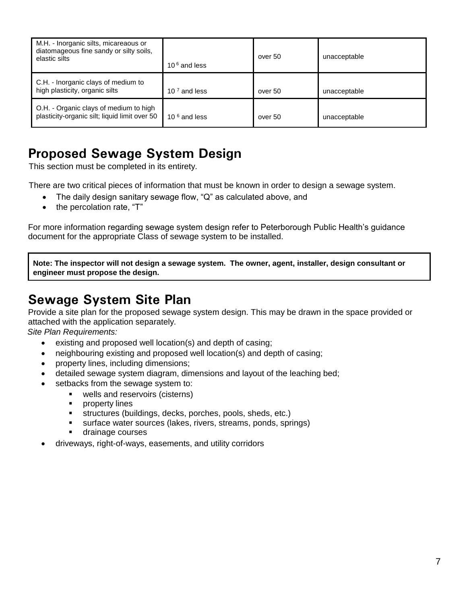| M.H. - Inorganic silts, micareaous or<br>diatomageous fine sandy or silty soils,<br>elastic silts | 10 $6$ and less | over 50 | unacceptable |
|---------------------------------------------------------------------------------------------------|-----------------|---------|--------------|
| C.H. - Inorganic clays of medium to<br>high plasticity, organic silts                             | 10 $7$ and less | over 50 | unacceptable |
| O.H. - Organic clays of medium to high<br>plasticity-organic silt; liquid limit over 50           | 10 $6$ and less | over 50 | unacceptable |

## **Proposed Sewage System Design**

This section must be completed in its entirety.

There are two critical pieces of information that must be known in order to design a sewage system.

- The daily design sanitary sewage flow, "Q" as calculated above, and
- the percolation rate, "T"

For more information regarding sewage system design refer to Peterborough Public Health's guidance document for the appropriate Class of sewage system to be installed.

**Note: The inspector will not design a sewage system. The owner, agent, installer, design consultant or engineer must propose the design.**

#### **Sewage System Site Plan**

Provide a site plan for the proposed sewage system design. This may be drawn in the space provided or attached with the application separately.

*Site Plan Requirements:*

- existing and proposed well location(s) and depth of casing;
- neighbouring existing and proposed well location(s) and depth of casing;
- property lines, including dimensions;
- detailed sewage system diagram, dimensions and layout of the leaching bed;
- setbacks from the sewage system to:
	- **•** wells and reservoirs (cisterns)
	- **•** property lines
	- structures (buildings, decks, porches, pools, sheds, etc.)
	- surface water sources (lakes, rivers, streams, ponds, springs)
	- **drainage courses**
- driveways, right-of-ways, easements, and utility corridors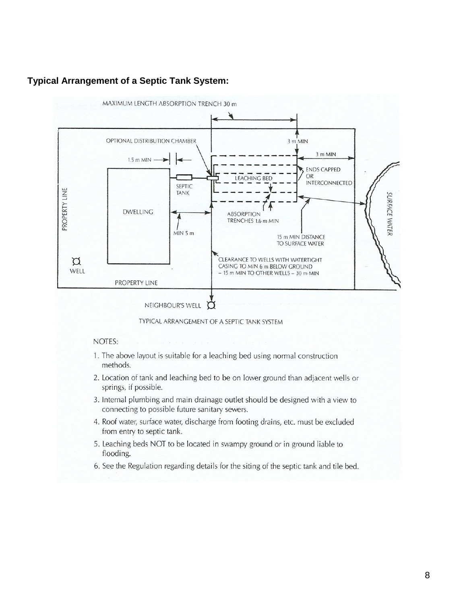

#### **Typical Arrangement of a Septic Tank System:**

TYPICAL ARRANGEMENT OF A SEPTIC TANK SYSTEM

#### NOTES:

- 1. The above layout is suitable for a leaching bed using normal construction methods.
- 2. Location of tank and leaching bed to be on lower ground than adjacent wells or springs, if possible.
- 3. Internal plumbing and main drainage outlet should be designed with a view to connecting to possible future sanitary sewers.
- 4. Roof water, surface water, discharge from footing drains, etc. must be excluded from entry to septic tank.
- 5. Leaching beds NOT to be located in swampy ground or in ground liable to flooding.
- 6. See the Regulation regarding details for the siting of the septic tank and tile bed.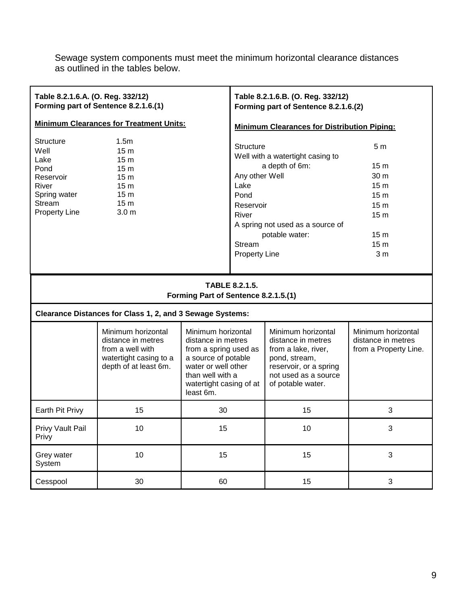Sewage system components must meet the minimum horizontal clearance distances as outlined in the tables below.

| Table 8.2.1.6.A. (O. Reg. 332/12)                                                                                       | Forming part of Sentence 8.2.1.6.(1)                                                                                                                                      |                                                                                                                                                                             |                                                                                                                   | Table 8.2.1.6.B. (O. Reg. 332/12)<br>Forming part of Sentence 8.2.1.6.(2)                                                                               |                                                                                                                                                                               |
|-------------------------------------------------------------------------------------------------------------------------|---------------------------------------------------------------------------------------------------------------------------------------------------------------------------|-----------------------------------------------------------------------------------------------------------------------------------------------------------------------------|-------------------------------------------------------------------------------------------------------------------|---------------------------------------------------------------------------------------------------------------------------------------------------------|-------------------------------------------------------------------------------------------------------------------------------------------------------------------------------|
| <b>Minimum Clearances for Treatment Units:</b>                                                                          |                                                                                                                                                                           | <b>Minimum Clearances for Distribution Piping:</b>                                                                                                                          |                                                                                                                   |                                                                                                                                                         |                                                                                                                                                                               |
| <b>Structure</b><br>Well<br>Lake<br>Pond<br>Reservoir<br>River<br>Spring water<br><b>Stream</b><br><b>Property Line</b> | 1.5 <sub>m</sub><br>15 <sub>m</sub><br>15 <sub>m</sub><br>15 <sub>m</sub><br>15 <sub>m</sub><br>15 <sub>m</sub><br>15 <sub>m</sub><br>15 <sub>m</sub><br>3.0 <sub>m</sub> |                                                                                                                                                                             | <b>Structure</b><br>Any other Well<br>Lake<br>Pond<br>Reservoir<br>River<br><b>Stream</b><br><b>Property Line</b> | Well with a watertight casing to<br>a depth of 6m:<br>A spring not used as a source of<br>potable water:                                                | 5 <sub>m</sub><br>15 <sub>m</sub><br>30 m<br>15 <sub>m</sub><br>15 <sub>m</sub><br>15 <sub>m</sub><br>15 <sub>m</sub><br>15 <sub>m</sub><br>15 <sub>m</sub><br>3 <sub>m</sub> |
| <b>TABLE 8.2.1.5.</b><br>Forming Part of Sentence 8.2.1.5.(1)                                                           |                                                                                                                                                                           |                                                                                                                                                                             |                                                                                                                   |                                                                                                                                                         |                                                                                                                                                                               |
| Clearance Distances for Class 1, 2, and 3 Sewage Systems:                                                               |                                                                                                                                                                           |                                                                                                                                                                             |                                                                                                                   |                                                                                                                                                         |                                                                                                                                                                               |
|                                                                                                                         | Minimum horizontal<br>distance in metres<br>from a well with<br>watertight casing to a<br>depth of at least 6m.                                                           | Minimum horizontal<br>distance in metres<br>from a spring used as<br>a source of potable<br>water or well other<br>than well with a<br>watertight casing of at<br>least 6m. |                                                                                                                   | Minimum horizontal<br>distance in metres<br>from a lake, river,<br>pond, stream,<br>reservoir, or a spring<br>not used as a source<br>of potable water. | Minimum horizontal<br>distance in metres<br>from a Property Line.                                                                                                             |
| Earth Pit Privy                                                                                                         | 15                                                                                                                                                                        | 30                                                                                                                                                                          |                                                                                                                   | 15                                                                                                                                                      | 3                                                                                                                                                                             |
| Privy Vault Pail<br>Privy                                                                                               | 10                                                                                                                                                                        | 15                                                                                                                                                                          |                                                                                                                   | 10                                                                                                                                                      | 3                                                                                                                                                                             |
| Grey water<br>System                                                                                                    | 10                                                                                                                                                                        | 15                                                                                                                                                                          |                                                                                                                   | 15                                                                                                                                                      | 3                                                                                                                                                                             |
| Cesspool                                                                                                                | 30                                                                                                                                                                        | 60                                                                                                                                                                          |                                                                                                                   | 15                                                                                                                                                      | 3                                                                                                                                                                             |